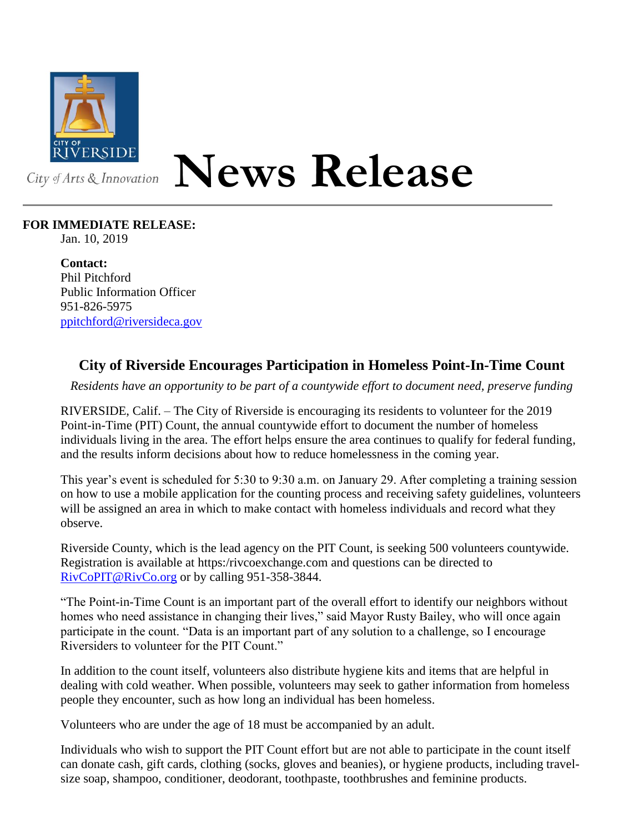

## **News Release**

## **FOR IMMEDIATE RELEASE:**

Jan. 10, 2019

**Contact:** Phil Pitchford Public Information Officer 951-826-5975 [ppitchford@riversideca.gov](mailto:ppitchford@riversideca.gov)

## **City of Riverside Encourages Participation in Homeless Point-In-Time Count**

*Residents have an opportunity to be part of a countywide effort to document need, preserve funding*

RIVERSIDE, Calif. – The City of Riverside is encouraging its residents to volunteer for the 2019 Point-in-Time (PIT) Count, the annual countywide effort to document the number of homeless individuals living in the area. The effort helps ensure the area continues to qualify for federal funding, and the results inform decisions about how to reduce homelessness in the coming year.

This year's event is scheduled for 5:30 to 9:30 a.m. on January 29. After completing a training session on how to use a mobile application for the counting process and receiving safety guidelines, volunteers will be assigned an area in which to make contact with homeless individuals and record what they observe.

Riverside County, which is the lead agency on the PIT Count, is seeking 500 volunteers countywide. Registration is available at https:/rivcoexchange.com and questions can be directed to [RivCoPIT@RivCo.org](mailto:RivCoPIT@RivCo.org) or by calling 951-358-3844.

"The Point-in-Time Count is an important part of the overall effort to identify our neighbors without homes who need assistance in changing their lives," said Mayor Rusty Bailey, who will once again participate in the count. "Data is an important part of any solution to a challenge, so I encourage Riversiders to volunteer for the PIT Count."

In addition to the count itself, volunteers also distribute hygiene kits and items that are helpful in dealing with cold weather. When possible, volunteers may seek to gather information from homeless people they encounter, such as how long an individual has been homeless.

Volunteers who are under the age of 18 must be accompanied by an adult.

Individuals who wish to support the PIT Count effort but are not able to participate in the count itself can donate cash, gift cards, clothing (socks, gloves and beanies), or hygiene products, including travelsize soap, shampoo, conditioner, deodorant, toothpaste, toothbrushes and feminine products.